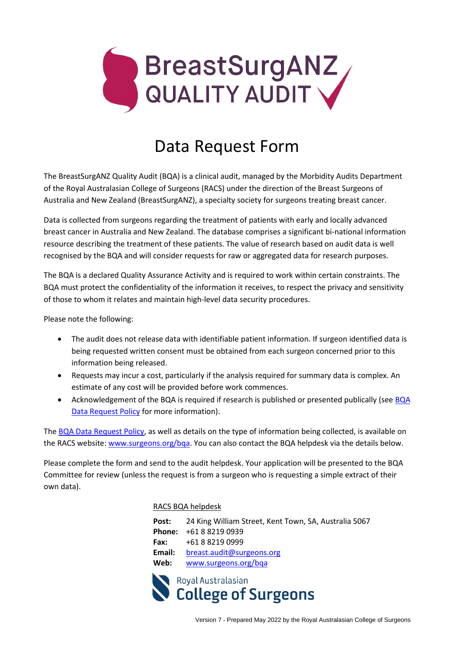

# Data Request Form

The BreastSurgANZ Quality Audit (BQA) is a clinical audit, managed by the Morbidity Audits Department of the Royal Australasian College of Surgeons (RACS) under the direction of the Breast Surgeons of Australia and New Zealand (BreastSurgANZ), a specialty society for surgeons treating breast cancer.

Data is collected from surgeons regarding the treatment of patients with early and locally advanced breast cancer in Australia and New Zealand. The database comprises a significant bi-national information resource describing the treatment of these patients. The value of research based on audit data is well recognised by the BQA and will consider requests for raw or aggregated data for research purposes.

The BQA is a declared Quality Assurance Activity and is required to work within certain constraints. The BQA must protect the confidentiality of the information it receives, to respect the privacy and sensitivity of those to whom it relates and maintain high-level data security procedures.

Please note the following:

- The audit does not release data with identifiable patient information. If surgeon identified data is being requested written consent must be obtained from each surgeon concerned prior to this information being released.
- Requests may incur a cost, particularly if the analysis required for summary data is complex. An estimate of any cost will be provided before work commences.
- Acknowledgement of the [BQA](https://www.surgeons.org/-/media/Project/RACS/surgeons-org/files/morbidity-audits/bqa-data-release-policy.pdf) is required if research is published or presented publically (see BQA [Data Request Policy](https://www.surgeons.org/-/media/Project/RACS/surgeons-org/files/morbidity-audits/bqa-data-release-policy.pdf) for more information).

The [BQA Data Request Policy,](https://www.surgeons.org/-/media/Project/RACS/surgeons-org/files/morbidity-audits/bqa-data-release-policy.pdf) as well as details on the type of information being collected, is available on the RACS website: [www.surgeons.org/bqa.](http://www.surgeons.org/bqa) You can also contact the BQA helpdesk via the details below.

Please complete the form and send to the audit helpdesk. Your application will be presented to the BQA Committee for review (unless the request is from a surgeon who is requesting a simple extract of their own data).

#### RACS BQA helpdesk

**Post:** 24 King William Street, Kent Town, SA, Australia 5067 **Phone:** +61 8 8219 0939 **Fax:** +61 8 8219 0999 **Email:** [breast.audit@surgeons.org](mailto:breast.audit@surgeons.org)  **Web:** [www.surgeons.org/bqa](http://www.surgeons.org/bqa) 

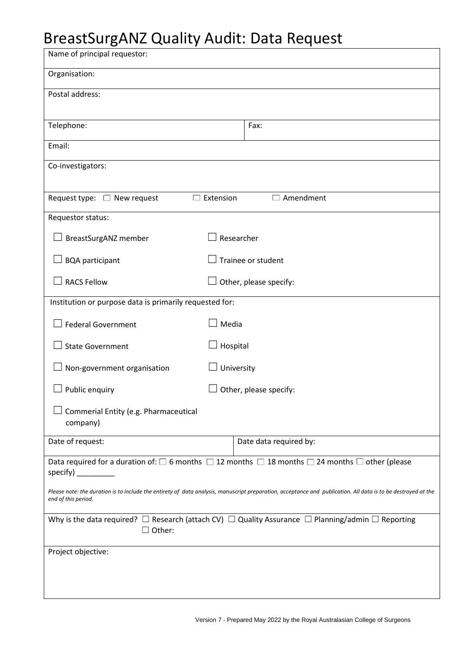# BreastSurgANZ Quality Audit: Data Request

| Name of principal requestor:                                                                                                                                                         |                        |  |  |  |  |
|--------------------------------------------------------------------------------------------------------------------------------------------------------------------------------------|------------------------|--|--|--|--|
| Organisation:                                                                                                                                                                        |                        |  |  |  |  |
| Postal address:                                                                                                                                                                      |                        |  |  |  |  |
|                                                                                                                                                                                      |                        |  |  |  |  |
| Telephone:                                                                                                                                                                           | Fax:                   |  |  |  |  |
| Email:                                                                                                                                                                               |                        |  |  |  |  |
| Co-investigators:                                                                                                                                                                    |                        |  |  |  |  |
| $\Box$ Extension<br>Amendment<br>Request type: $\square$ New request                                                                                                                 |                        |  |  |  |  |
| Requestor status:                                                                                                                                                                    |                        |  |  |  |  |
| Researcher<br><b>BreastSurgANZ member</b>                                                                                                                                            |                        |  |  |  |  |
| <b>BQA participant</b>                                                                                                                                                               | Trainee or student     |  |  |  |  |
| <b>RACS Fellow</b><br>Other, please specify:                                                                                                                                         |                        |  |  |  |  |
| Institution or purpose data is primarily requested for:                                                                                                                              |                        |  |  |  |  |
| <b>Federal Government</b><br>Media                                                                                                                                                   |                        |  |  |  |  |
| <b>State Government</b><br>Hospital                                                                                                                                                  |                        |  |  |  |  |
| Non-government organisation<br>University                                                                                                                                            |                        |  |  |  |  |
| Public enquiry                                                                                                                                                                       | Other, please specify: |  |  |  |  |
| Commerial Entity (e.g. Pharmaceutical<br>company)                                                                                                                                    |                        |  |  |  |  |
| Date of request:                                                                                                                                                                     | Date data required by: |  |  |  |  |
| Data required for a duration of: $\square$ 6 months $\square$ 12 months $\square$ 18 months $\square$ 24 months $\square$ other (please<br>specify)                                  |                        |  |  |  |  |
| Please note: the duration is to include the entirety of data analysis, manuscript preparation, acceptance and publication. All data is to be destroyed at the<br>end of this period. |                        |  |  |  |  |
| Why is the data required? $\Box$ Research (attach CV) $\Box$ Quality Assurance $\Box$ Planning/admin $\Box$ Reporting<br>$\Box$ Other:                                               |                        |  |  |  |  |
| Project objective:                                                                                                                                                                   |                        |  |  |  |  |
|                                                                                                                                                                                      |                        |  |  |  |  |
|                                                                                                                                                                                      |                        |  |  |  |  |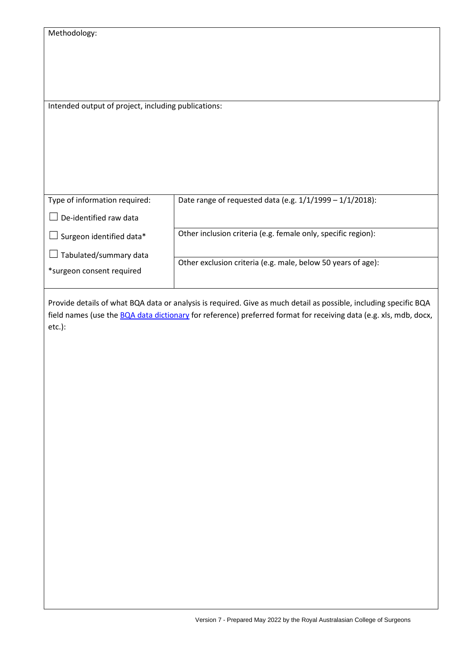| Methodology: |  |
|--------------|--|
|--------------|--|

Intended output of project, including publications:

| Type of information required: | Date range of requested data (e.g. $1/1/1999 - 1/1/2018$ ):   |
|-------------------------------|---------------------------------------------------------------|
| De-identified raw data        |                                                               |
| Surgeon identified data*      | Other inclusion criteria (e.g. female only, specific region): |
| Tabulated/summary data        |                                                               |
|                               | Other exclusion criteria (e.g. male, below 50 years of age):  |
| *surgeon consent required     |                                                               |
|                               |                                                               |

Provide details of what BQA data or analysis is required. Give as much detail as possible, including specific BQA field names (use th[e BQA data dictionary](https://www.surgeons.org/-/media/Project/RACS/surgeons-org/files/morbidity-audits/2021-05-07_DOC_BQA_Data_Dictionary.pdf) for reference) preferred format for receiving data (e.g. xls, mdb, docx, etc.):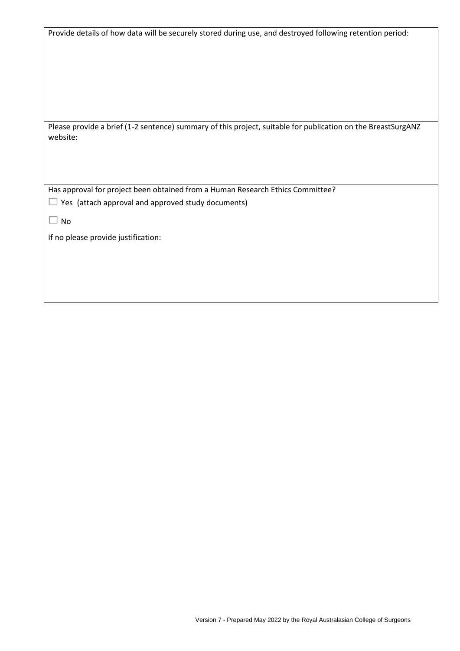| Provide details of how data will be securely stored during use, and destroyed following retention period:                |
|--------------------------------------------------------------------------------------------------------------------------|
|                                                                                                                          |
| Please provide a brief (1-2 sentence) summary of this project, suitable for publication on the BreastSurgANZ<br>website: |
|                                                                                                                          |
|                                                                                                                          |
| Has approval for project been obtained from a Human Research Ethics Committee?                                           |
| Yes (attach approval and approved study documents)                                                                       |
| $\Box$ No                                                                                                                |
| If no please provide justification:                                                                                      |
|                                                                                                                          |
|                                                                                                                          |
|                                                                                                                          |
|                                                                                                                          |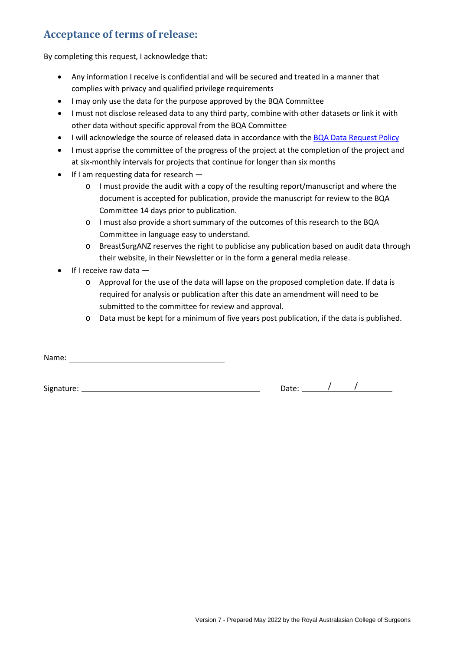#### **Acceptance of terms of release:**

By completing this request, I acknowledge that:

- Any information I receive is confidential and will be secured and treated in a manner that complies with privacy and qualified privilege requirements
- I may only use the data for the purpose approved by the BQA Committee
- I must not disclose released data to any third party, combine with other datasets or link it with other data without specific approval from the BQA Committee
- I will acknowledge the source of released data in accordance with the BQA [Data Request Policy](https://www.surgeons.org/-/media/Project/RACS/surgeons-org/files/morbidity-audits/bqa-data-release-policy.pdf)
- I must apprise the committee of the progress of the project at the completion of the project and at six-monthly intervals for projects that continue for longer than six months
- If I am requesting data for research
	- o I must provide the audit with a copy of the resulting report/manuscript and where the document is accepted for publication, provide the manuscript for review to the BQA Committee 14 days prior to publication.
	- o I must also provide a short summary of the outcomes of this research to the BQA Committee in language easy to understand.
	- o BreastSurgANZ reserves the right to publicise any publication based on audit data through their website, in their Newsletter or in the form a general media release.
- $\bullet$  If I receive raw data  $$ 
	- o Approval for the use of the data will lapse on the proposed completion date. If data is required for analysis or publication after this date an amendment will need to be submitted to the committee for review and approval.
	- o Data must be kept for a minimum of five years post publication, if the data is published.

Name: Name: Name: Name: Name: Name: Name: Name: Name: Name: Name: Name: Name: Name: Name: Name: Name: Name: Name: Name: Name: Name: Name: Name: Name: Name: Name: Name: Name: Name: Name: Name: Name: Name: Name: Name: Name:

Signature:  $\frac{1}{2}$  /  $\frac{1}{2}$  /  $\frac{1}{2}$  /  $\frac{1}{2}$  /  $\frac{1}{2}$  /  $\frac{1}{2}$  /  $\frac{1}{2}$  /  $\frac{1}{2}$  /  $\frac{1}{2}$  /  $\frac{1}{2}$  /  $\frac{1}{2}$  /  $\frac{1}{2}$  /  $\frac{1}{2}$  /  $\frac{1}{2}$  /  $\frac{1}{2}$  /  $\frac{1}{2}$  /  $\frac{1}{2}$  /  $\frac{1}{$